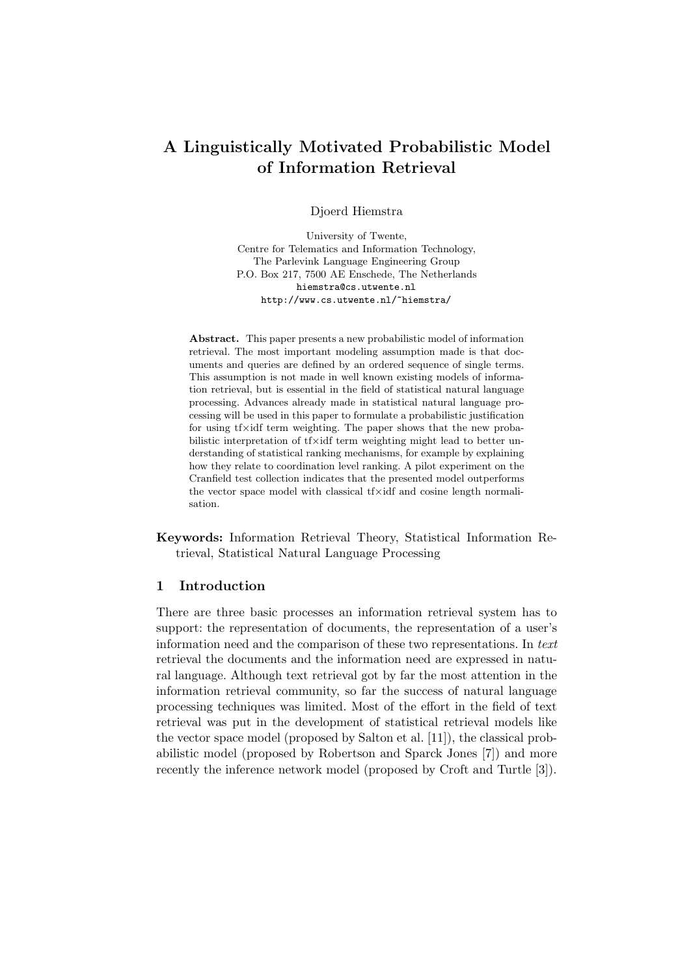# A Linguistically Motivated Probabilistic Model of Information Retrieval

Djoerd Hiemstra

University of Twente, Centre for Telematics and Information Technology, The Parlevink Language Engineering Group P.O. Box 217, 7500 AE Enschede, The Netherlands hiemstra@cs.utwente.nl http://www.cs.utwente.nl/~hiemstra/

Abstract. This paper presents a new probabilistic model of information retrieval. The most important modeling assumption made is that documents and queries are defined by an ordered sequence of single terms. This assumption is not made in well known existing models of information retrieval, but is essential in the field of statistical natural language processing. Advances already made in statistical natural language processing will be used in this paper to formulate a probabilistic justification for using tf×idf term weighting. The paper shows that the new probabilistic interpretation of tf×idf term weighting might lead to better understanding of statistical ranking mechanisms, for example by explaining how they relate to coordination level ranking. A pilot experiment on the Cranfield test collection indicates that the presented model outperforms the vector space model with classical tf×idf and cosine length normalisation.

Keywords: Information Retrieval Theory, Statistical Information Retrieval, Statistical Natural Language Processing

# 1 Introduction

There are three basic processes an information retrieval system has to support: the representation of documents, the representation of a user's information need and the comparison of these two representations. In text retrieval the documents and the information need are expressed in natural language. Although text retrieval got by far the most attention in the information retrieval community, so far the success of natural language processing techniques was limited. Most of the effort in the field of text retrieval was put in the development of statistical retrieval models like the vector space model (proposed by Salton et al. [11]), the classical probabilistic model (proposed by Robertson and Sparck Jones [7]) and more recently the inference network model (proposed by Croft and Turtle [3]).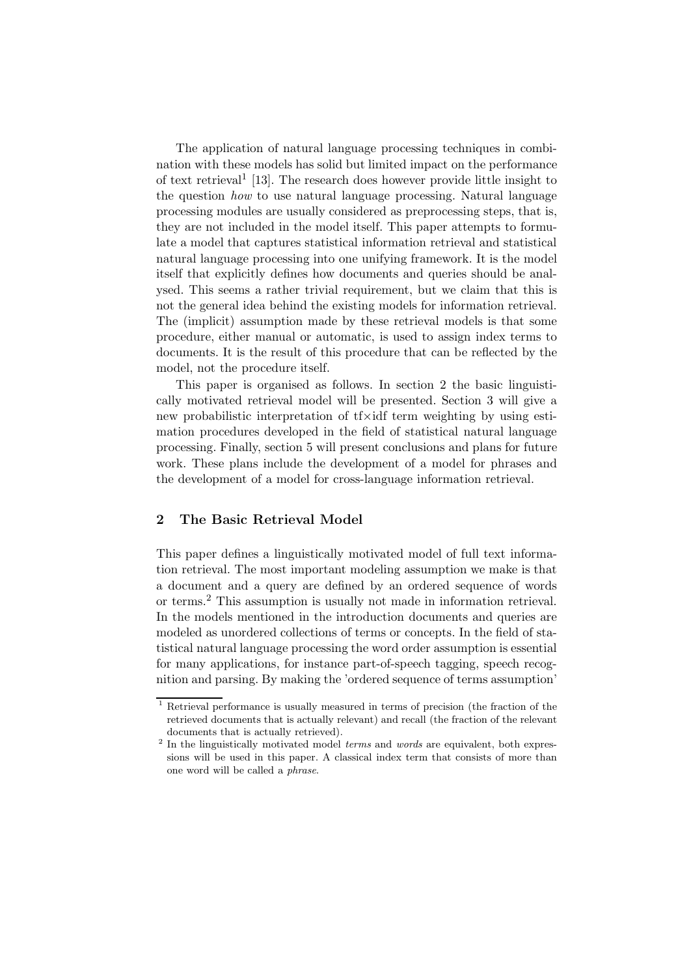The application of natural language processing techniques in combination with these models has solid but limited impact on the performance of text retrieval<sup>1</sup> [13]. The research does however provide little insight to the question how to use natural language processing. Natural language processing modules are usually considered as preprocessing steps, that is, they are not included in the model itself. This paper attempts to formulate a model that captures statistical information retrieval and statistical natural language processing into one unifying framework. It is the model itself that explicitly defines how documents and queries should be analysed. This seems a rather trivial requirement, but we claim that this is not the general idea behind the existing models for information retrieval. The (implicit) assumption made by these retrieval models is that some procedure, either manual or automatic, is used to assign index terms to documents. It is the result of this procedure that can be reflected by the model, not the procedure itself.

This paper is organised as follows. In section 2 the basic linguistically motivated retrieval model will be presented. Section 3 will give a new probabilistic interpretation of tf×idf term weighting by using estimation procedures developed in the field of statistical natural language processing. Finally, section 5 will present conclusions and plans for future work. These plans include the development of a model for phrases and the development of a model for cross-language information retrieval.

# 2 The Basic Retrieval Model

This paper defines a linguistically motivated model of full text information retrieval. The most important modeling assumption we make is that a document and a query are defined by an ordered sequence of words or terms.<sup>2</sup> This assumption is usually not made in information retrieval. In the models mentioned in the introduction documents and queries are modeled as unordered collections of terms or concepts. In the field of statistical natural language processing the word order assumption is essential for many applications, for instance part-of-speech tagging, speech recognition and parsing. By making the 'ordered sequence of terms assumption'

<sup>&</sup>lt;sup>1</sup> Retrieval performance is usually measured in terms of precision (the fraction of the retrieved documents that is actually relevant) and recall (the fraction of the relevant documents that is actually retrieved).

<sup>&</sup>lt;sup>2</sup> In the linguistically motivated model terms and words are equivalent, both expressions will be used in this paper. A classical index term that consists of more than one word will be called a phrase.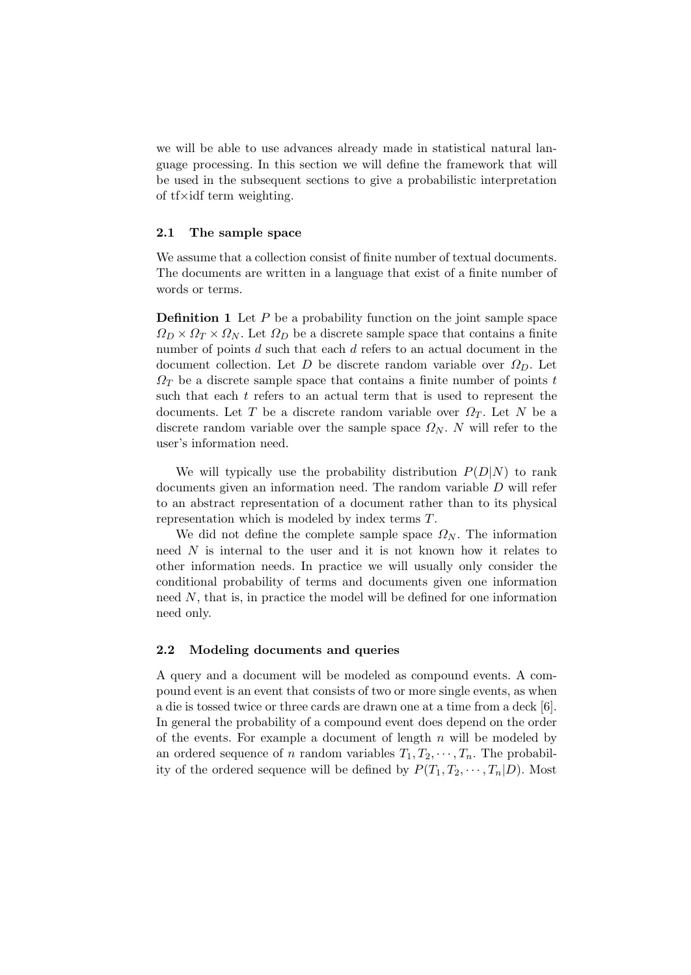we will be able to use advances already made in statistical natural language processing. In this section we will define the framework that will be used in the subsequent sections to give a probabilistic interpretation of tf×idf term weighting.

#### 2.1 The sample space

We assume that a collection consist of finite number of textual documents. The documents are written in a language that exist of a finite number of words or terms.

**Definition 1** Let  $P$  be a probability function on the joint sample space  $\Omega_D \times \Omega_T \times \Omega_N$ . Let  $\Omega_D$  be a discrete sample space that contains a finite number of points d such that each d refers to an actual document in the document collection. Let D be discrete random variable over  $\Omega_D$ . Let  $\Omega_T$  be a discrete sample space that contains a finite number of points t such that each t refers to an actual term that is used to represent the documents. Let T be a discrete random variable over  $\Omega_T$ . Let N be a discrete random variable over the sample space  $\Omega_N$ . N will refer to the user's information need.

We will typically use the probability distribution  $P(D|N)$  to rank documents given an information need. The random variable D will refer to an abstract representation of a document rather than to its physical representation which is modeled by index terms T.

We did not define the complete sample space  $\Omega_N$ . The information need N is internal to the user and it is not known how it relates to other information needs. In practice we will usually only consider the conditional probability of terms and documents given one information need N, that is, in practice the model will be defined for one information need only.

#### 2.2 Modeling documents and queries

A query and a document will be modeled as compound events. A compound event is an event that consists of two or more single events, as when a die is tossed twice or three cards are drawn one at a time from a deck [6]. In general the probability of a compound event does depend on the order of the events. For example a document of length  $n$  will be modeled by an ordered sequence of n random variables  $T_1, T_2, \dots, T_n$ . The probability of the ordered sequence will be defined by  $P(T_1, T_2, \dots, T_n|D)$ . Most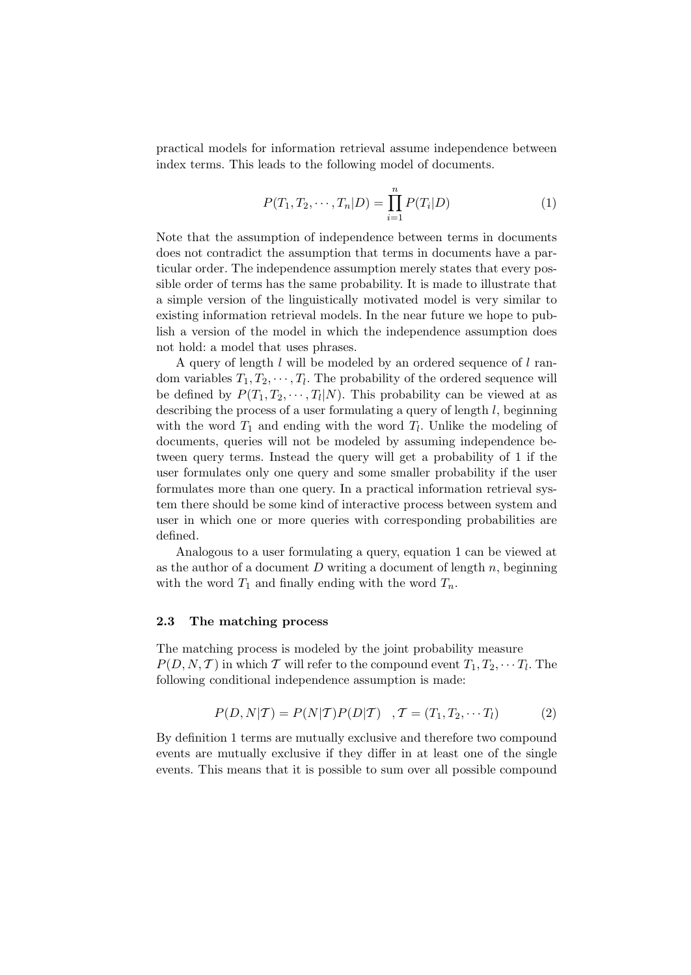practical models for information retrieval assume independence between index terms. This leads to the following model of documents.

$$
P(T_1, T_2, \cdots, T_n | D) = \prod_{i=1}^n P(T_i | D)
$$
 (1)

Note that the assumption of independence between terms in documents does not contradict the assumption that terms in documents have a particular order. The independence assumption merely states that every possible order of terms has the same probability. It is made to illustrate that a simple version of the linguistically motivated model is very similar to existing information retrieval models. In the near future we hope to publish a version of the model in which the independence assumption does not hold: a model that uses phrases.

A query of length l will be modeled by an ordered sequence of l random variables  $T_1, T_2, \dots, T_l$ . The probability of the ordered sequence will be defined by  $P(T_1, T_2, \cdots, T_l | N)$ . This probability can be viewed at as describing the process of a user formulating a query of length l, beginning with the word  $T_1$  and ending with the word  $T_l$ . Unlike the modeling of documents, queries will not be modeled by assuming independence between query terms. Instead the query will get a probability of 1 if the user formulates only one query and some smaller probability if the user formulates more than one query. In a practical information retrieval system there should be some kind of interactive process between system and user in which one or more queries with corresponding probabilities are defined.

Analogous to a user formulating a query, equation 1 can be viewed at as the author of a document  $D$  writing a document of length  $n$ , beginning with the word  $T_1$  and finally ending with the word  $T_n$ .

# 2.3 The matching process

The matching process is modeled by the joint probability measure  $P(D, N, T)$  in which T will refer to the compound event  $T_1, T_2, \cdots T_l$ . The following conditional independence assumption is made:

$$
P(D, N|T) = P(N|T)P(D|T) \quad , T = (T_1, T_2, \cdots T_l) \tag{2}
$$

By definition 1 terms are mutually exclusive and therefore two compound events are mutually exclusive if they differ in at least one of the single events. This means that it is possible to sum over all possible compound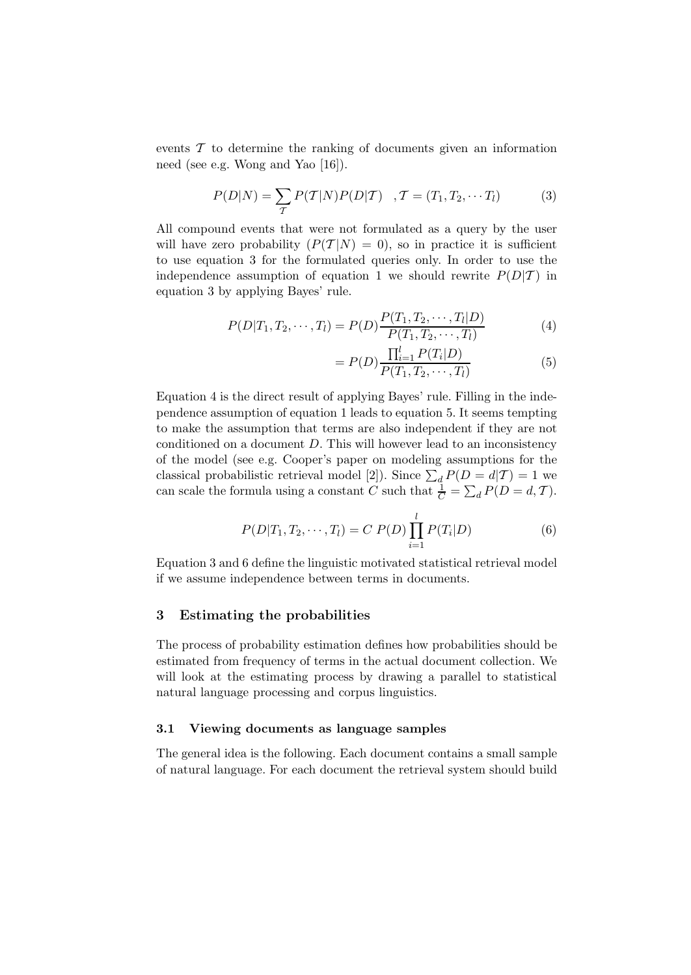events  $\mathcal T$  to determine the ranking of documents given an information need (see e.g. Wong and Yao [16]).

$$
P(D|N) = \sum_{\mathcal{T}} P(\mathcal{T}|N)P(D|\mathcal{T}) \quad , \mathcal{T} = (T_1, T_2, \cdots T_l) \tag{3}
$$

All compound events that were not formulated as a query by the user will have zero probability  $(P(T|N) = 0)$ , so in practice it is sufficient to use equation 3 for the formulated queries only. In order to use the independence assumption of equation 1 we should rewrite  $P(D|\mathcal{T})$  in equation 3 by applying Bayes' rule.

$$
P(D|T_1, T_2, \cdots, T_l) = P(D) \frac{P(T_1, T_2, \cdots, T_l | D)}{P(T_1, T_2, \cdots, T_l)}
$$
(4)

$$
= P(D) \frac{\prod_{i=1}^{l} P(T_i|D)}{P(T_1, T_2, \cdots, T_l)}
$$
(5)

Equation 4 is the direct result of applying Bayes' rule. Filling in the independence assumption of equation 1 leads to equation 5. It seems tempting to make the assumption that terms are also independent if they are not conditioned on a document D. This will however lead to an inconsistency of the model (see e.g. Cooper's paper on modeling assumptions for the classical probabilistic retrieval model [2]). Since  $\sum_{d} P(D = d | \mathcal{T}) = 1$  we can scale the formula using a constant C such that  $\frac{1}{C} = \sum_{d} P(D = d, T)$ .

$$
P(D|T_1, T_2, \cdots, T_l) = C \ P(D) \prod_{i=1}^l P(T_i|D) \tag{6}
$$

Equation 3 and 6 define the linguistic motivated statistical retrieval model if we assume independence between terms in documents.

# 3 Estimating the probabilities

The process of probability estimation defines how probabilities should be estimated from frequency of terms in the actual document collection. We will look at the estimating process by drawing a parallel to statistical natural language processing and corpus linguistics.

# 3.1 Viewing documents as language samples

The general idea is the following. Each document contains a small sample of natural language. For each document the retrieval system should build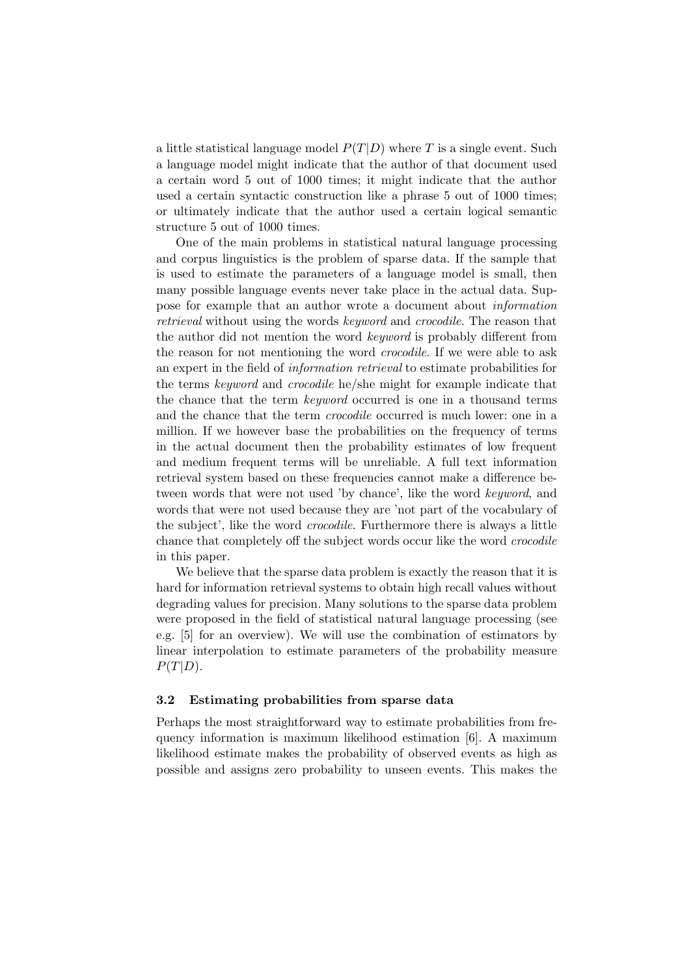a little statistical language model  $P(T|D)$  where T is a single event. Such a language model might indicate that the author of that document used a certain word 5 out of 1000 times; it might indicate that the author used a certain syntactic construction like a phrase 5 out of 1000 times; or ultimately indicate that the author used a certain logical semantic structure 5 out of 1000 times.

One of the main problems in statistical natural language processing and corpus linguistics is the problem of sparse data. If the sample that is used to estimate the parameters of a language model is small, then many possible language events never take place in the actual data. Suppose for example that an author wrote a document about information retrieval without using the words keyword and crocodile. The reason that the author did not mention the word keyword is probably different from the reason for not mentioning the word *crocodile*. If we were able to ask an expert in the field of information retrieval to estimate probabilities for the terms keyword and crocodile he/she might for example indicate that the chance that the term *keyword* occurred is one in a thousand terms and the chance that the term *crocodile* occurred is much lower: one in a million. If we however base the probabilities on the frequency of terms in the actual document then the probability estimates of low frequent and medium frequent terms will be unreliable. A full text information retrieval system based on these frequencies cannot make a difference between words that were not used 'by chance', like the word keyword, and words that were not used because they are 'not part of the vocabulary of the subject', like the word *crocodile*. Furthermore there is always a little chance that completely off the subject words occur like the word crocodile in this paper.

We believe that the sparse data problem is exactly the reason that it is hard for information retrieval systems to obtain high recall values without degrading values for precision. Many solutions to the sparse data problem were proposed in the field of statistical natural language processing (see e.g. [5] for an overview). We will use the combination of estimators by linear interpolation to estimate parameters of the probability measure  $P(T|D)$ .

#### 3.2 Estimating probabilities from sparse data

Perhaps the most straightforward way to estimate probabilities from frequency information is maximum likelihood estimation [6]. A maximum likelihood estimate makes the probability of observed events as high as possible and assigns zero probability to unseen events. This makes the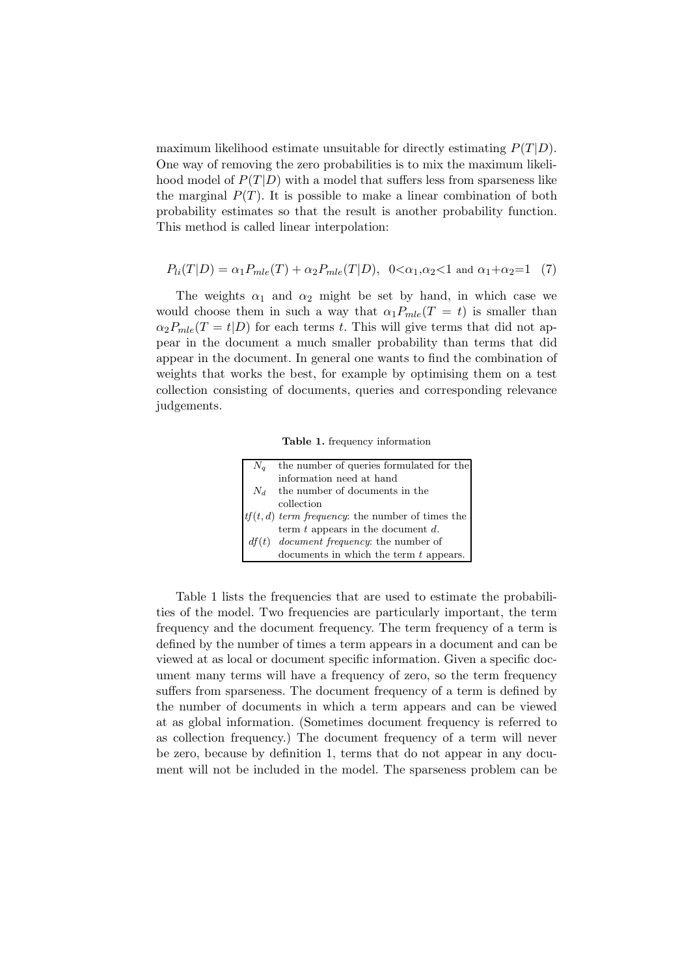maximum likelihood estimate unsuitable for directly estimating  $P(T|D)$ . One way of removing the zero probabilities is to mix the maximum likelihood model of  $P(T|D)$  with a model that suffers less from sparseness like the marginal  $P(T)$ . It is possible to make a linear combination of both probability estimates so that the result is another probability function. This method is called linear interpolation:

$$
P_{li}(T|D) = \alpha_1 P_{mle}(T) + \alpha_2 P_{mle}(T|D), \ \ 0 < \alpha_1, \alpha_2 < 1 \ \text{and} \ \alpha_1 + \alpha_2 = 1 \tag{7}
$$

The weights  $\alpha_1$  and  $\alpha_2$  might be set by hand, in which case we would choose them in such a way that  $\alpha_1 P_{mle}(T = t)$  is smaller than  $\alpha_2 P_{mle}(T = t|D)$  for each terms t. This will give terms that did not appear in the document a much smaller probability than terms that did appear in the document. In general one wants to find the combination of weights that works the best, for example by optimising them on a test collection consisting of documents, queries and corresponding relevance judgements.

Table 1. frequency information

| $N_a$ | the number of queries formulated for the           |
|-------|----------------------------------------------------|
|       | information need at hand                           |
| $N_d$ | the number of documents in the                     |
|       | collection                                         |
|       | $tf(t, d)$ term frequency: the number of times the |
|       | term $t$ appears in the document $d$ .             |
|       | $df(t)$ document frequency: the number of          |
|       | documents in which the term t appears.             |

Table 1 lists the frequencies that are used to estimate the probabilities of the model. Two frequencies are particularly important, the term frequency and the document frequency. The term frequency of a term is defined by the number of times a term appears in a document and can be viewed at as local or document specific information. Given a specific document many terms will have a frequency of zero, so the term frequency suffers from sparseness. The document frequency of a term is defined by the number of documents in which a term appears and can be viewed at as global information. (Sometimes document frequency is referred to as collection frequency.) The document frequency of a term will never be zero, because by definition 1, terms that do not appear in any document will not be included in the model. The sparseness problem can be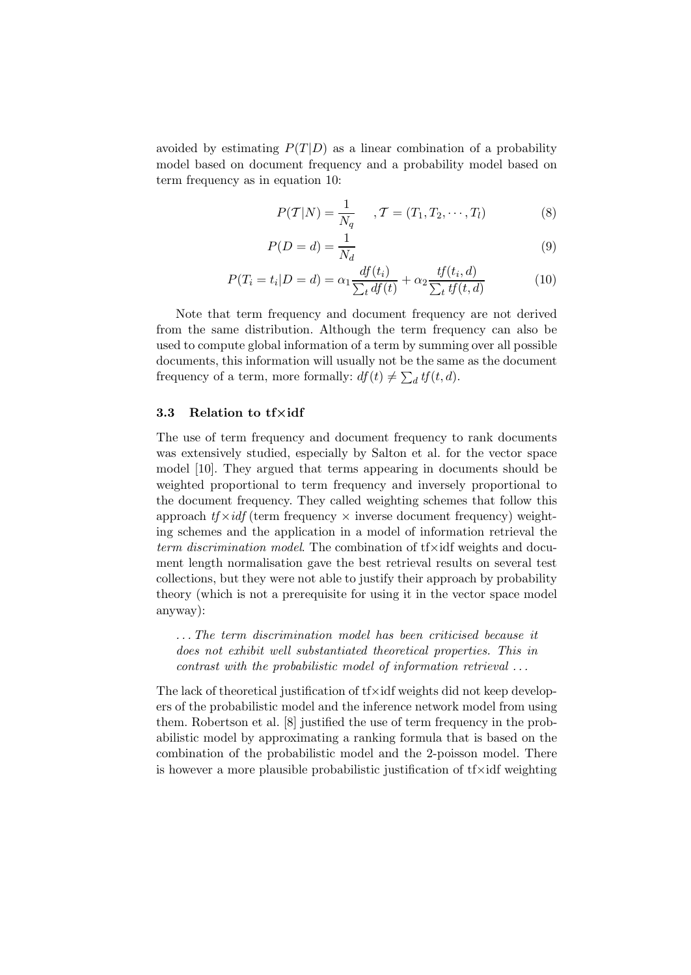avoided by estimating  $P(T|D)$  as a linear combination of a probability model based on document frequency and a probability model based on term frequency as in equation 10:

$$
P(\mathcal{T}|N) = \frac{1}{N_q} \quad , \mathcal{T} = (T_1, T_2, \cdots, T_l) \tag{8}
$$

$$
P(D=d) = \frac{1}{N_d} \tag{9}
$$

$$
P(T_i = t_i | D = d) = \alpha_1 \frac{df(t_i)}{\sum_t df(t)} + \alpha_2 \frac{tf(t_i, d)}{\sum_t tf(t, d)}
$$
(10)

Note that term frequency and document frequency are not derived from the same distribution. Although the term frequency can also be used to compute global information of a term by summing over all possible documents, this information will usually not be the same as the document frequency of a term, more formally:  $df(t) \neq \sum_d tf(t, d)$ .

## 3.3 Relation to  $tf \times idf$

The use of term frequency and document frequency to rank documents was extensively studied, especially by Salton et al. for the vector space model [10]. They argued that terms appearing in documents should be weighted proportional to term frequency and inversely proportional to the document frequency. They called weighting schemes that follow this approach  $tf \times idf$  (term frequency  $\times$  inverse document frequency) weighting schemes and the application in a model of information retrieval the term discrimination model. The combination of tfxidf weights and document length normalisation gave the best retrieval results on several test collections, but they were not able to justify their approach by probability theory (which is not a prerequisite for using it in the vector space model anyway):

. . . The term discrimination model has been criticised because it does not exhibit well substantiated theoretical properties. This in contrast with the probabilistic model of information retrieval . . .

The lack of theoretical justification of tf×idf weights did not keep developers of the probabilistic model and the inference network model from using them. Robertson et al. [8] justified the use of term frequency in the probabilistic model by approximating a ranking formula that is based on the combination of the probabilistic model and the 2-poisson model. There is however a more plausible probabilistic justification of tf×idf weighting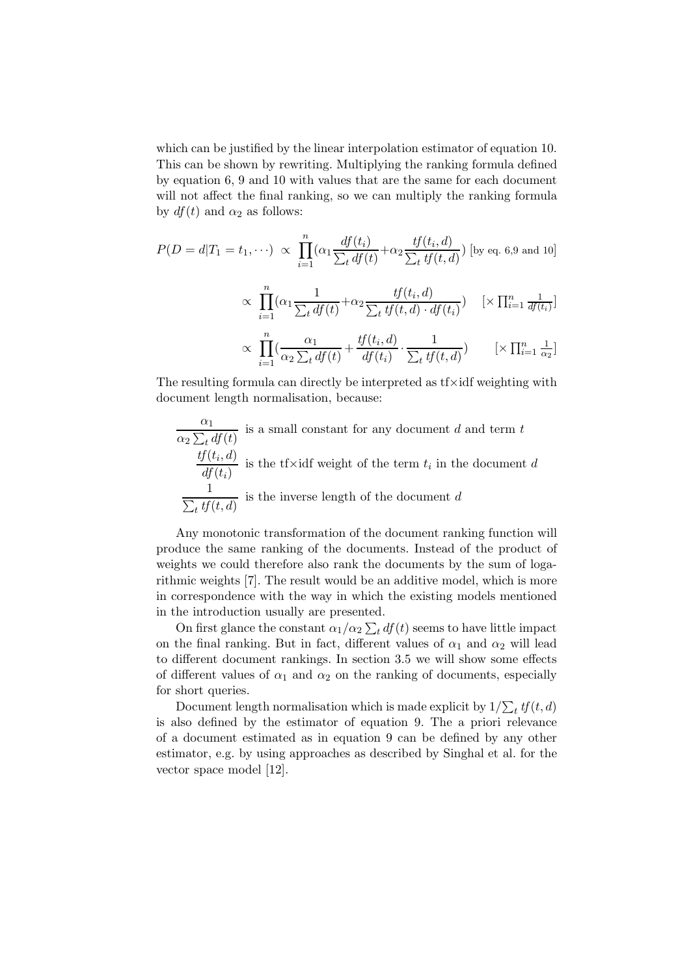which can be justified by the linear interpolation estimator of equation 10. This can be shown by rewriting. Multiplying the ranking formula defined by equation 6, 9 and 10 with values that are the same for each document will not affect the final ranking, so we can multiply the ranking formula by  $df(t)$  and  $\alpha_2$  as follows:

$$
P(D = d|T_1 = t_1, \cdots) \propto \prod_{i=1}^n (\alpha_1 \frac{df(t_i)}{\sum_t df(t)} + \alpha_2 \frac{tf(t_i, d)}{\sum_t tf(t, d)}) \text{ [by eq. 6,9 and 10]}
$$

$$
\propto \prod_{i=1}^n (\alpha_1 \frac{1}{\sum_t df(t)} + \alpha_2 \frac{tf(t_i, d)}{\sum_t tf(t, d) \cdot df(t_i)}) \quad [\times \prod_{i=1}^n \frac{1}{df(t_i)}]
$$

$$
\propto \prod_{i=1}^n (\frac{\alpha_1}{\alpha_2 \sum_t df(t)} + \frac{tf(t_i, d)}{df(t_i)} \cdot \frac{1}{\sum_t tf(t, d)}) \quad [\times \prod_{i=1}^n \frac{1}{\alpha_2}]
$$

The resulting formula can directly be interpreted as  $tf \times idf$  weighting with document length normalisation, because:

 $\alpha_1$  $\frac{\alpha_1}{\alpha_2 \sum_t df(t)}$  is a small constant for any document d and term t  $tf(t_i, d)$  $\frac{d f(x_i, \omega)}{d f(t_i)}$  is the tf×idf weight of the term  $t_i$  in the document d 1  $\frac{1}{\sum_t tf(t, d)}$  is the inverse length of the document d

Any monotonic transformation of the document ranking function will produce the same ranking of the documents. Instead of the product of weights we could therefore also rank the documents by the sum of logarithmic weights [7]. The result would be an additive model, which is more in correspondence with the way in which the existing models mentioned in the introduction usually are presented.

On first glance the constant  $\alpha_1/\alpha_2 \sum_t df(t)$  seems to have little impact on the final ranking. But in fact, different values of  $\alpha_1$  and  $\alpha_2$  will lead to different document rankings. In section 3.5 we will show some effects of different values of  $\alpha_1$  and  $\alpha_2$  on the ranking of documents, especially for short queries.

Document length normalisation which is made explicit by  $1/\sum_t tf(t, d)$ is also defined by the estimator of equation 9. The a priori relevance of a document estimated as in equation 9 can be defined by any other estimator, e.g. by using approaches as described by Singhal et al. for the vector space model [12].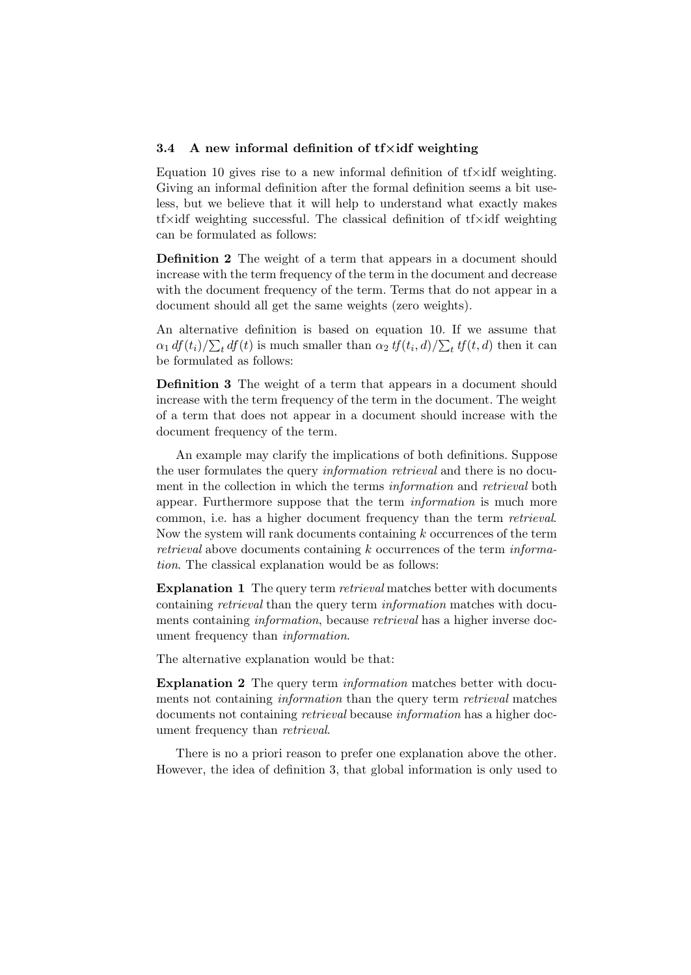## 3.4 A new informal definition of  $tf \times idf$  weighting

Equation 10 gives rise to a new informal definition of  $f \times idf$  weighting. Giving an informal definition after the formal definition seems a bit useless, but we believe that it will help to understand what exactly makes tf×idf weighting successful. The classical definition of tf×idf weighting can be formulated as follows:

Definition 2 The weight of a term that appears in a document should increase with the term frequency of the term in the document and decrease with the document frequency of the term. Terms that do not appear in a document should all get the same weights (zero weights).

An alternative definition is based on equation 10. If we assume that  $\alpha_1 df(t_i)/\sum_t df(t)$  is much smaller than  $\alpha_2 tf(t_i, d)/\sum_t tf(t, d)$  then it can be formulated as follows:

Definition 3 The weight of a term that appears in a document should increase with the term frequency of the term in the document. The weight of a term that does not appear in a document should increase with the document frequency of the term.

An example may clarify the implications of both definitions. Suppose the user formulates the query *information retrieval* and there is no document in the collection in which the terms *information* and *retrieval* both appear. Furthermore suppose that the term information is much more common, i.e. has a higher document frequency than the term *retrieval*. Now the system will rank documents containing  $k$  occurrences of the term retrieval above documents containing k occurrences of the term information. The classical explanation would be as follows:

**Explanation 1** The query term *retrieval* matches better with documents containing retrieval than the query term information matches with documents containing *information*, because *retrieval* has a higher inverse document frequency than *information*.

The alternative explanation would be that:

Explanation 2 The query term information matches better with documents not containing *information* than the query term *retrieval* matches documents not containing *retrieval* because *information* has a higher document frequency than *retrieval*.

There is no a priori reason to prefer one explanation above the other. However, the idea of definition 3, that global information is only used to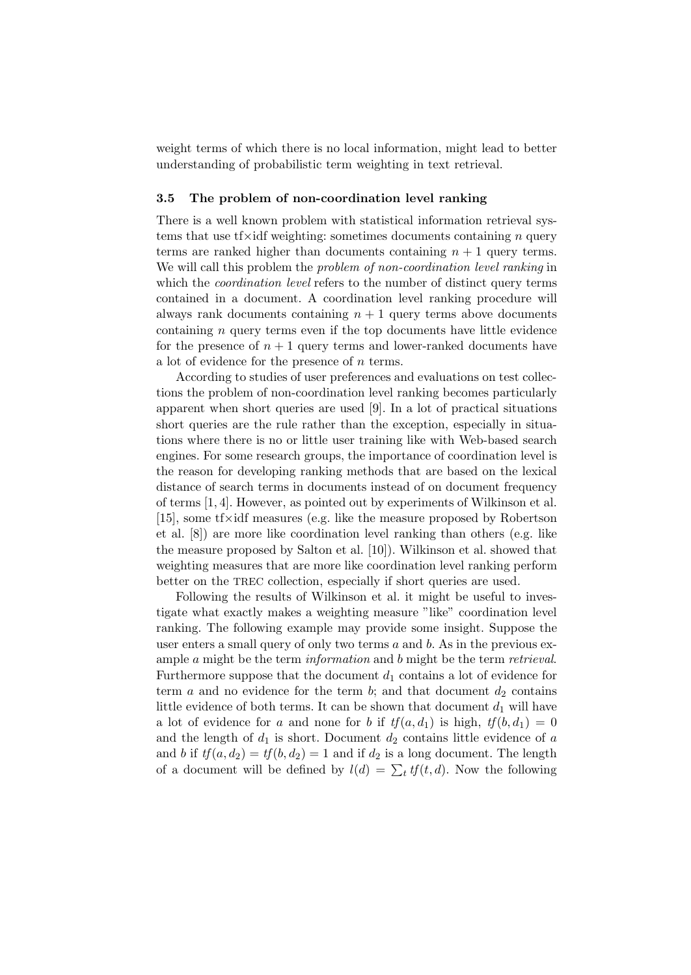weight terms of which there is no local information, might lead to better understanding of probabilistic term weighting in text retrieval.

#### 3.5 The problem of non-coordination level ranking

There is a well known problem with statistical information retrieval systems that use tf  $\times$  idf weighting: sometimes documents containing n query terms are ranked higher than documents containing  $n + 1$  query terms. We will call this problem the *problem of non-coordination level ranking* in which the *coordination level* refers to the number of distinct query terms contained in a document. A coordination level ranking procedure will always rank documents containing  $n + 1$  query terms above documents containing  $n$  query terms even if the top documents have little evidence for the presence of  $n+1$  query terms and lower-ranked documents have a lot of evidence for the presence of n terms.

According to studies of user preferences and evaluations on test collections the problem of non-coordination level ranking becomes particularly apparent when short queries are used [9]. In a lot of practical situations short queries are the rule rather than the exception, especially in situations where there is no or little user training like with Web-based search engines. For some research groups, the importance of coordination level is the reason for developing ranking methods that are based on the lexical distance of search terms in documents instead of on document frequency of terms [1, 4]. However, as pointed out by experiments of Wilkinson et al. [15], some tf×idf measures (e.g. like the measure proposed by Robertson et al. [8]) are more like coordination level ranking than others (e.g. like the measure proposed by Salton et al. [10]). Wilkinson et al. showed that weighting measures that are more like coordination level ranking perform better on the TREC collection, especially if short queries are used.

Following the results of Wilkinson et al. it might be useful to investigate what exactly makes a weighting measure "like" coordination level ranking. The following example may provide some insight. Suppose the user enters a small query of only two terms  $a$  and  $b$ . As in the previous example a might be the term *information* and b might be the term *retrieval*. Furthermore suppose that the document  $d_1$  contains a lot of evidence for term  $a$  and no evidence for the term  $b$ ; and that document  $d_2$  contains little evidence of both terms. It can be shown that document  $d_1$  will have a lot of evidence for a and none for b if  $tf(a, d_1)$  is high,  $tf(b, d_1) = 0$ and the length of  $d_1$  is short. Document  $d_2$  contains little evidence of a and b if  $tf(a, d_2) = tf(b, d_2) = 1$  and if  $d_2$  is a long document. The length of a document will be defined by  $l(d) = \sum_t tf(t, d)$ . Now the following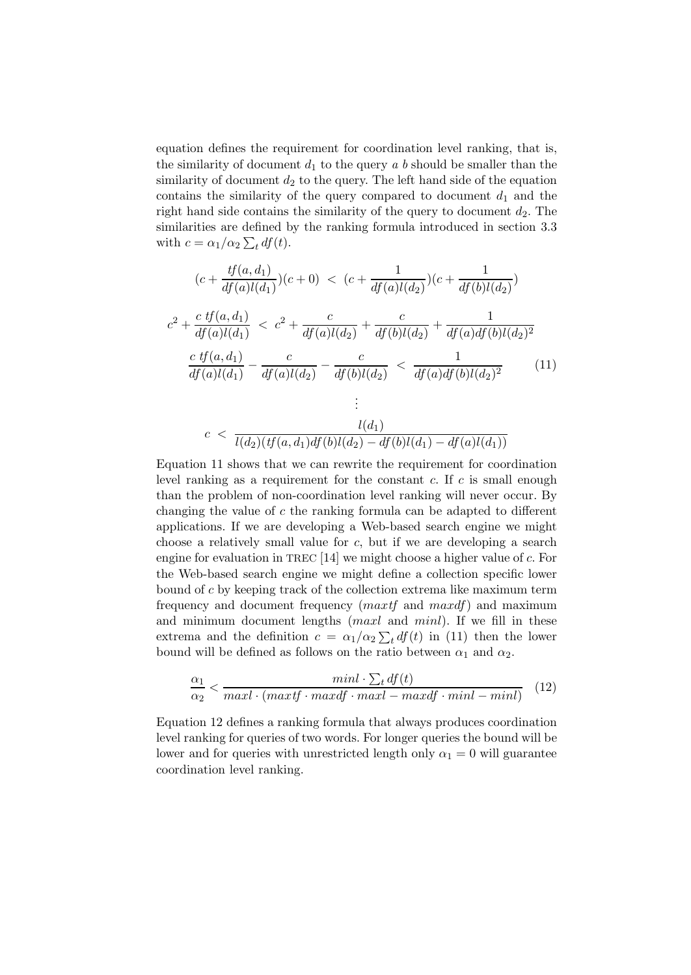equation defines the requirement for coordination level ranking, that is, the similarity of document  $d_1$  to the query  $a$  b should be smaller than the similarity of document  $d_2$  to the query. The left hand side of the equation contains the similarity of the query compared to document  $d_1$  and the right hand side contains the similarity of the query to document  $d_2$ . The similarities are defined by the ranking formula introduced in section 3.3 with  $c = \alpha_1/\alpha_2 \sum_t df(t)$ .

$$
(c + \frac{tf(a, d_1)}{df(a)l(d_1)})(c + 0) < (c + \frac{1}{df(a)l(d_2)})(c + \frac{1}{df(b)l(d_2)})
$$
\n
$$
c^2 + \frac{c \, tf(a, d_1)}{df(a)l(d_1)} < c^2 + \frac{c}{df(a)l(d_2)} + \frac{c}{df(b)l(d_2)} + \frac{1}{df(a)df(b)l(d_2)^2}
$$
\n
$$
\frac{c \, tf(a, d_1)}{df(a)l(d_1)} - \frac{c}{df(a)l(d_2)} - \frac{c}{df(b)l(d_2)} < \frac{1}{df(a)df(b)l(d_2)^2} \tag{11}
$$
\n
$$
\vdots
$$
\n
$$
c < \frac{l(d_1)}{l(l_1)(l_2)} + \frac{l(d_1)}{l(l_2)} + \frac{l(d_1)}{l(l_2)} + \frac{l(d_1)}{l(l_2)} + \frac{l(d_2)}{l(l_2)} + \frac{l(d_2)}{l(l_2)} + \frac{l(d_2)}{l(l_2)} + \frac{l(d_2)}{l(l_2)} + \frac{l(d_2)}{l(l_2)} + \frac{l(d_2)}{l(l_2)} + \frac{l(d_2)}{l(l_2)} + \frac{l(d_2)}{l(l_2)} + \frac{l(d_2)}{l(l_2)} + \frac{l(d_2)}{l(l_2)} + \frac{l(d_2)}{l(l_2)} + \frac{l(d_2)}{l(l_2)} + \frac{l(d_2)}{l(l_2)} + \frac{l(d_2)}{l(l_2)} + \frac{l(d_2)}{l(l_2)} + \frac{l(d_2)}{l(l_2)} + \frac{l(d_2)}{l(l_2)} + \frac{l(d_2)}{l(l_2)} + \frac{l(d_2)}{l(l_2)} + \frac{l(d_2)}{l(l_2)} + \frac{l(d_2)}{l(l_2)} + \frac{l(d_2)}{l(l_2)} + \frac{l(d_2)}{l(l_2)} + \frac{l(d_2)}{l(l_2)} + \frac{l(d_2)}{l(l_2)} + \frac{l(d_2)}{l(l_2)} + \frac{l(d_2)}{l(l_2)} + \frac{l(d_2)}{l(l_2)} + \frac{l(d_2)}{l(l_2)} + \frac{l(d_2)}{l(l_2)} + \frac{l(d_2)}{l(l_2)} + \frac{l(d
$$

$$
l(d_2)(tf(a, d_1)df(b)l(d_2) - df(b)l(d_1) - df(a)l(d_1))
$$
  
Equation 11 shows that we can rewrite the requirement for coordination  
level ranking as a requirement for the constant c. If c is small enough  
than the problem of non-coordination level ranking will never occur. By  
changing the value of c the ranking formula can be adapted to different  
applications. If we are developing a Web-based search engine we might  
choose a relatively small value for c, but if we are developing a search  
engine for evaluation in TREC [14] we might choose a higher value of c. For  
the Web-based search engine we might define a collection specific lower  
bound of c by keeping track of the collection extrema like maximum term  
frequency and document frequency (*maxtf* and *maxdf*) and maximum  
and minimum document lengths (*maxl* and *minl*). If we fill in these  
extrema and the definition  $c = \alpha_1/\alpha_2 \sum_t df(t)$  in (11) then the lower  
bound will be defined as follows on the ratio between  $\alpha_1$  and  $\alpha_2$ .

$$
\frac{\alpha_1}{\alpha_2} < \frac{minl \cdot \sum_t df(t)}{maxl \cdot (maxtf \cdot maxdf \cdot maxl - maxdf \cdot minl - minl)} \tag{12}
$$

Equation 12 defines a ranking formula that always produces coordination level ranking for queries of two words. For longer queries the bound will be lower and for queries with unrestricted length only  $\alpha_1 = 0$  will guarantee coordination level ranking.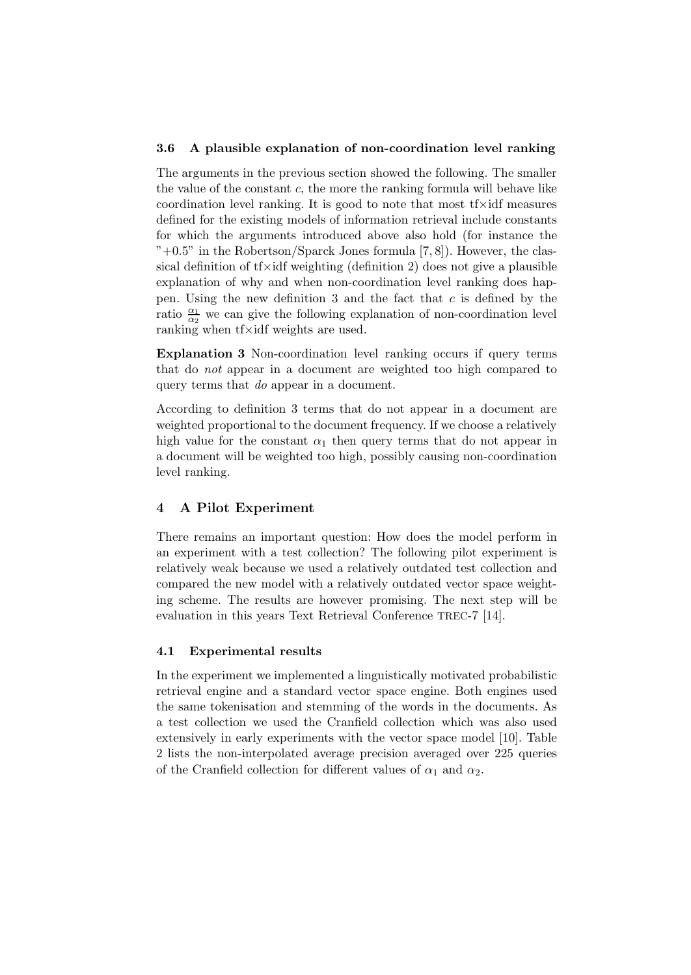# 3.6 A plausible explanation of non-coordination level ranking

The arguments in the previous section showed the following. The smaller the value of the constant  $c$ , the more the ranking formula will behave like coordination level ranking. It is good to note that most  $f\times f$  measures defined for the existing models of information retrieval include constants for which the arguments introduced above also hold (for instance the  $"+0.5"$  in the Robertson/Sparck Jones formula [7,8]). However, the classical definition of  $t \times idf$  weighting (definition 2) does not give a plausible explanation of why and when non-coordination level ranking does happen. Using the new definition 3 and the fact that  $c$  is defined by the ratio  $\frac{\alpha_1}{\alpha_2}$  we can give the following explanation of non-coordination level ranking when tf×idf weights are used.

Explanation 3 Non-coordination level ranking occurs if query terms that do not appear in a document are weighted too high compared to query terms that do appear in a document.

According to definition 3 terms that do not appear in a document are weighted proportional to the document frequency. If we choose a relatively high value for the constant  $\alpha_1$  then query terms that do not appear in a document will be weighted too high, possibly causing non-coordination level ranking.

# 4 A Pilot Experiment

There remains an important question: How does the model perform in an experiment with a test collection? The following pilot experiment is relatively weak because we used a relatively outdated test collection and compared the new model with a relatively outdated vector space weighting scheme. The results are however promising. The next step will be evaluation in this years Text Retrieval Conference TREC-7 [14].

# 4.1 Experimental results

In the experiment we implemented a linguistically motivated probabilistic retrieval engine and a standard vector space engine. Both engines used the same tokenisation and stemming of the words in the documents. As a test collection we used the Cranfield collection which was also used extensively in early experiments with the vector space model [10]. Table 2 lists the non-interpolated average precision averaged over 225 queries of the Cranfield collection for different values of  $\alpha_1$  and  $\alpha_2$ .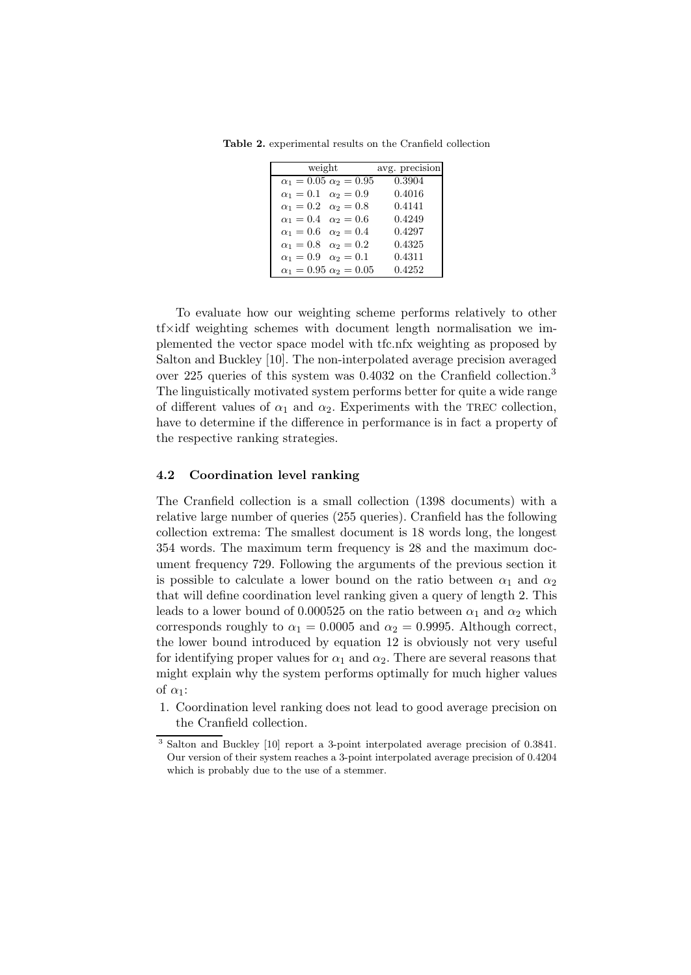Table 2. experimental results on the Cranfield collection

| weight                                |                |
|---------------------------------------|----------------|
|                                       | avg. precision |
| $\alpha_1 = 0.05 \alpha_2 = 0.95$     | 0.3904         |
| $\alpha_1 = 0.1 \quad \alpha_2 = 0.9$ | 0.4016         |
| $\alpha_1 = 0.2 \quad \alpha_2 = 0.8$ | 0.4141         |
| $\alpha_1 = 0.4 \quad \alpha_2 = 0.6$ | 0.4249         |
| $\alpha_1 = 0.6 \quad \alpha_2 = 0.4$ | 0.4297         |
| $\alpha_1 = 0.8 \quad \alpha_2 = 0.2$ | 0.4325         |
| $\alpha_1 = 0.9 \quad \alpha_2 = 0.1$ | 0.4311         |
| $\alpha_1 = 0.95 \; \alpha_2 = 0.05$  | 0.4252         |

To evaluate how our weighting scheme performs relatively to other tf×idf weighting schemes with document length normalisation we implemented the vector space model with tfc.nfx weighting as proposed by Salton and Buckley [10]. The non-interpolated average precision averaged over 225 queries of this system was 0.4032 on the Cranfield collection.<sup>3</sup> The linguistically motivated system performs better for quite a wide range of different values of  $\alpha_1$  and  $\alpha_2$ . Experiments with the TREC collection, have to determine if the difference in performance is in fact a property of the respective ranking strategies.

# 4.2 Coordination level ranking

The Cranfield collection is a small collection (1398 documents) with a relative large number of queries (255 queries). Cranfield has the following collection extrema: The smallest document is 18 words long, the longest 354 words. The maximum term frequency is 28 and the maximum document frequency 729. Following the arguments of the previous section it is possible to calculate a lower bound on the ratio between  $\alpha_1$  and  $\alpha_2$ that will define coordination level ranking given a query of length 2. This leads to a lower bound of 0.000525 on the ratio between  $\alpha_1$  and  $\alpha_2$  which corresponds roughly to  $\alpha_1 = 0.0005$  and  $\alpha_2 = 0.9995$ . Although correct, the lower bound introduced by equation 12 is obviously not very useful for identifying proper values for  $\alpha_1$  and  $\alpha_2$ . There are several reasons that might explain why the system performs optimally for much higher values of  $\alpha_1$ :

1. Coordination level ranking does not lead to good average precision on the Cranfield collection.

<sup>3</sup> Salton and Buckley [10] report a 3-point interpolated average precision of 0.3841. Our version of their system reaches a 3-point interpolated average precision of 0.4204 which is probably due to the use of a stemmer.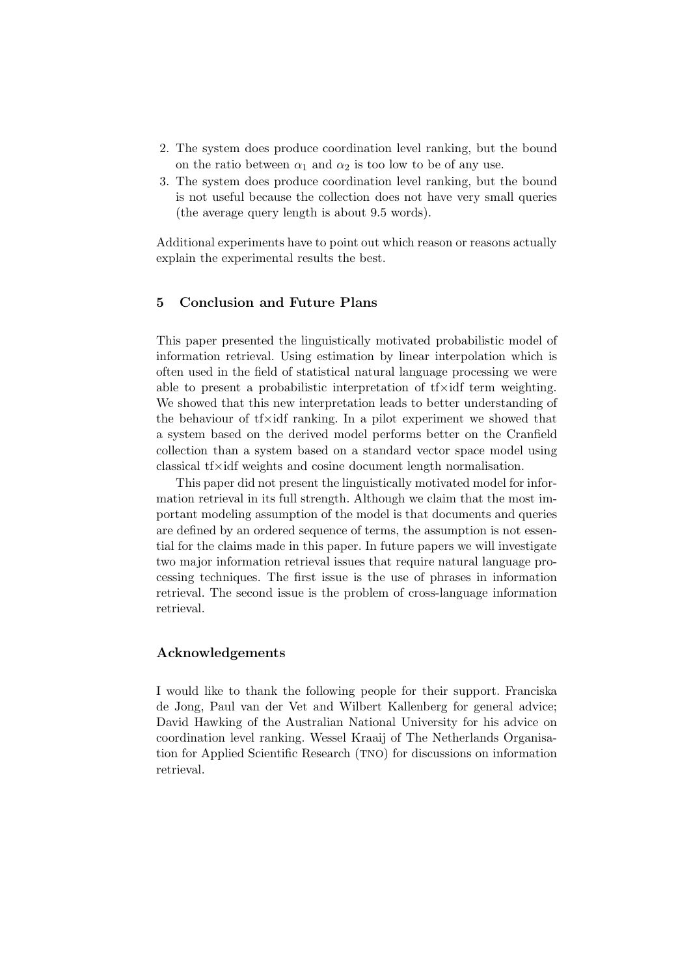- 2. The system does produce coordination level ranking, but the bound on the ratio between  $\alpha_1$  and  $\alpha_2$  is too low to be of any use.
- 3. The system does produce coordination level ranking, but the bound is not useful because the collection does not have very small queries (the average query length is about 9.5 words).

Additional experiments have to point out which reason or reasons actually explain the experimental results the best.

# 5 Conclusion and Future Plans

This paper presented the linguistically motivated probabilistic model of information retrieval. Using estimation by linear interpolation which is often used in the field of statistical natural language processing we were able to present a probabilistic interpretation of tf×idf term weighting. We showed that this new interpretation leads to better understanding of the behaviour of tf×idf ranking. In a pilot experiment we showed that a system based on the derived model performs better on the Cranfield collection than a system based on a standard vector space model using classical tf×idf weights and cosine document length normalisation.

This paper did not present the linguistically motivated model for information retrieval in its full strength. Although we claim that the most important modeling assumption of the model is that documents and queries are defined by an ordered sequence of terms, the assumption is not essential for the claims made in this paper. In future papers we will investigate two major information retrieval issues that require natural language processing techniques. The first issue is the use of phrases in information retrieval. The second issue is the problem of cross-language information retrieval.

# Acknowledgements

I would like to thank the following people for their support. Franciska de Jong, Paul van der Vet and Wilbert Kallenberg for general advice; David Hawking of the Australian National University for his advice on coordination level ranking. Wessel Kraaij of The Netherlands Organisation for Applied Scientific Research (TNO) for discussions on information retrieval.